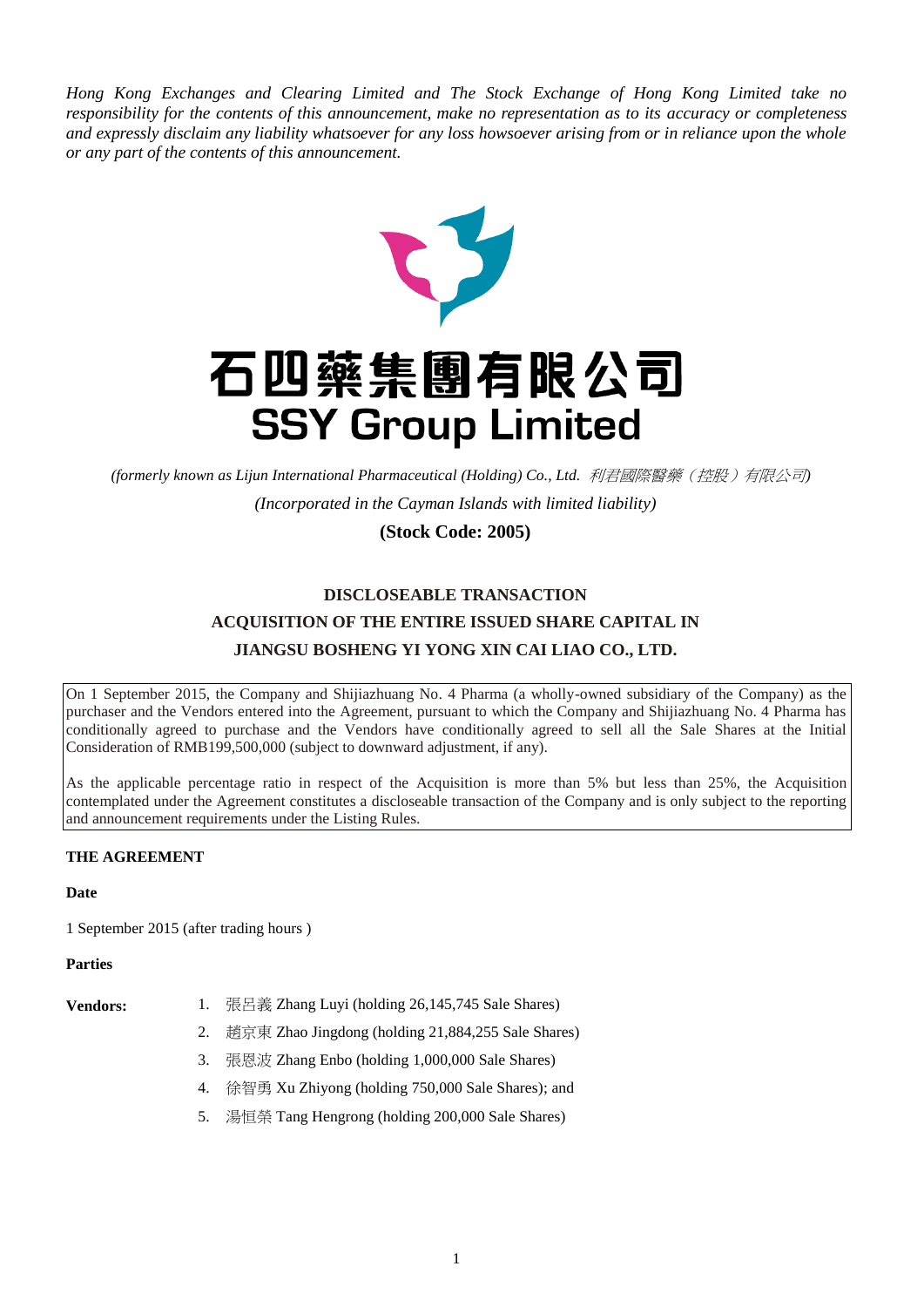*Hong Kong Exchanges and Clearing Limited and The Stock Exchange of Hong Kong Limited take no responsibility for the contents of this announcement, make no representation as to its accuracy or completeness and expressly disclaim any liability whatsoever for any loss howsoever arising from or in reliance upon the whole or any part of the contents of this announcement.*



# 石四藥集團有限公司 **SSY Group Limited**

*(formerly known as Lijun International Pharmaceutical (Holding) Co., Ltd.* 利君國際醫藥(控股)有限公司*)*

*(Incorporated in the Cayman Islands with limited liability)*

## **(Stock Code: 2005)**

## **DISCLOSEABLE TRANSACTION ACQUISITION OF THE ENTIRE ISSUED SHARE CAPITAL IN JIANGSU BOSHENG YI YONG XIN CAI LIAO CO., LTD.**

On 1 September 2015, the Company and Shijiazhuang No. 4 Pharma (a wholly-owned subsidiary of the Company) as the purchaser and the Vendors entered into the Agreement, pursuant to which the Company and Shijiazhuang No. 4 Pharma has conditionally agreed to purchase and the Vendors have conditionally agreed to sell all the Sale Shares at the Initial Consideration of RMB199,500,000 (subject to downward adjustment, if any).

As the applicable percentage ratio in respect of the Acquisition is more than 5% but less than 25%, the Acquisition contemplated under the Agreement constitutes a discloseable transaction of the Company and is only subject to the reporting and announcement requirements under the Listing Rules.

### **THE AGREEMENT**

#### **Date**

1 September 2015 (after trading hours )

#### **Parties**

- **Vendors:** 1. 張呂義 Zhang Luyi (holding 26,145,745 Sale Shares)
	- 2. 趙京東 Zhao Jingdong (holding 21,884,255 Sale Shares)
	- 3. 張恩波 Zhang Enbo (holding 1,000,000 Sale Shares)
	- 4. 徐智勇 Xu Zhiyong (holding 750,000 Sale Shares); and
	- 5. 湯恒榮 Tang Hengrong (holding 200,000 Sale Shares)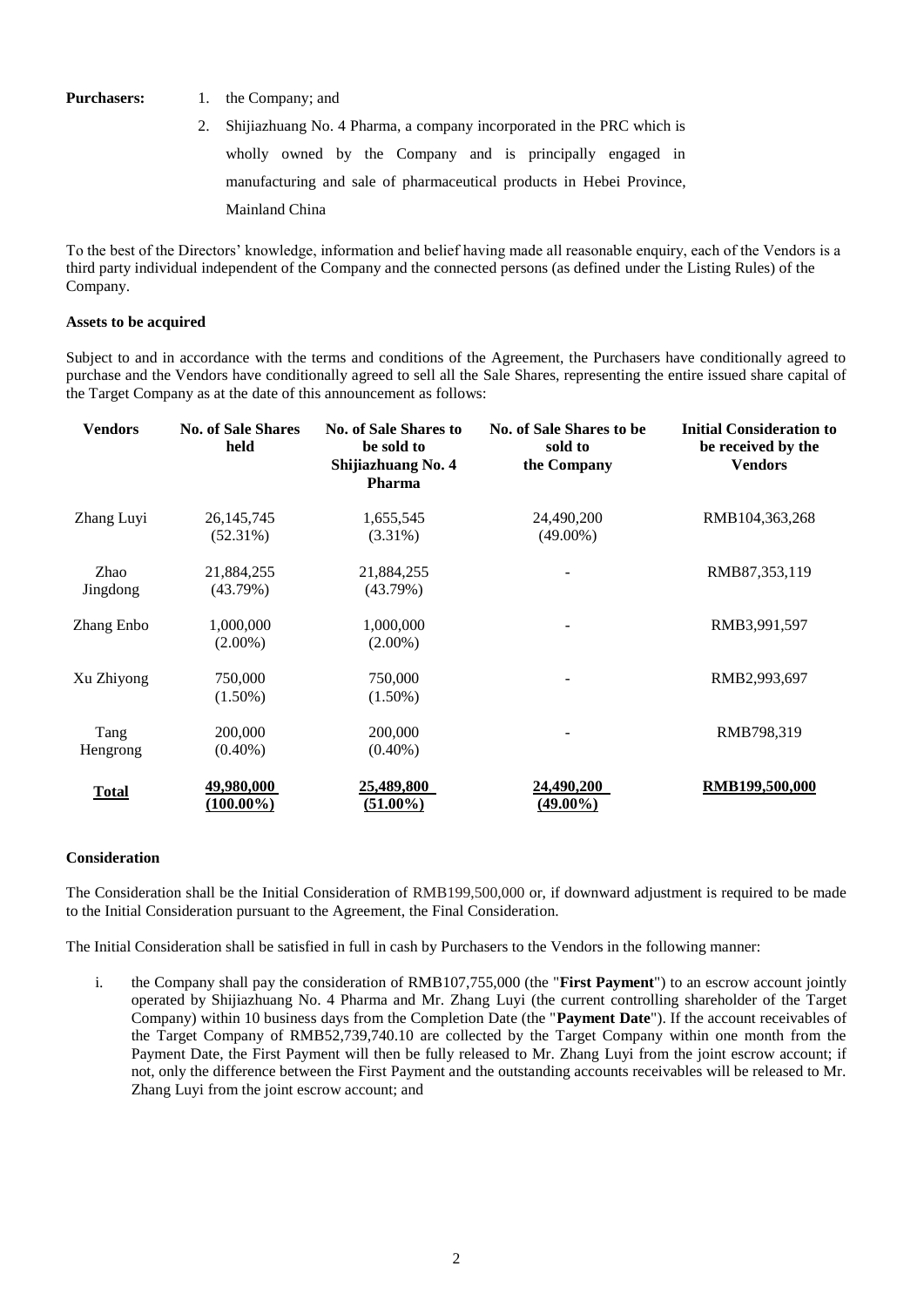**Purchasers:** 1. the Company; and

2. Shijiazhuang No. 4 Pharma, a company incorporated in the PRC which is wholly owned by the Company and is principally engaged in manufacturing and sale of pharmaceutical products in Hebei Province, Mainland China

To the best of the Directors' knowledge, information and belief having made all reasonable enquiry, each of the Vendors is a third party individual independent of the Company and the connected persons (as defined under the Listing Rules) of the Company.

#### **Assets to be acquired**

Subject to and in accordance with the terms and conditions of the Agreement, the Purchasers have conditionally agreed to purchase and the Vendors have conditionally agreed to sell all the Sale Shares, representing the entire issued share capital of the Target Company as at the date of this announcement as follows:

| <b>Vendors</b> | <b>No. of Sale Shares</b><br>held | <b>No. of Sale Shares to</b><br>be sold to<br>Shijiazhuang No. 4<br><b>Pharma</b> | No. of Sale Shares to be<br>sold to<br>the Company | <b>Initial Consideration to</b><br>be received by the<br><b>Vendors</b> |
|----------------|-----------------------------------|-----------------------------------------------------------------------------------|----------------------------------------------------|-------------------------------------------------------------------------|
| Zhang Luyi     | 26, 145, 745                      | 1,655,545                                                                         | 24,490,200                                         | RMB104,363,268                                                          |
|                | $(52.31\%)$                       | $(3.31\%)$                                                                        | $(49.00\%)$                                        |                                                                         |
| Zhao           | 21,884,255                        | 21,884,255                                                                        |                                                    | RMB87,353,119                                                           |
| Jingdong       | (43.79%)                          | (43.79%)                                                                          |                                                    |                                                                         |
| Zhang Enbo     | 1,000,000                         | 1,000,000                                                                         |                                                    | RMB3,991,597                                                            |
|                | $(2.00\%)$                        | $(2.00\%)$                                                                        |                                                    |                                                                         |
| Xu Zhiyong     | 750,000                           | 750,000                                                                           |                                                    | RMB2,993,697                                                            |
|                | $(1.50\%)$                        | $(1.50\%)$                                                                        |                                                    |                                                                         |
| Tang           | 200,000                           | 200,000                                                                           |                                                    | RMB798,319                                                              |
| Hengrong       | $(0.40\%)$                        | $(0.40\%)$                                                                        |                                                    |                                                                         |
| <b>Total</b>   | 49,980,000                        | 25,489,800                                                                        | 24,490,200                                         | RMB199,500,000                                                          |
|                | $(100.00\%)$                      | $(51.00\%)$                                                                       | $(49.00\%)$                                        |                                                                         |

#### **Consideration**

The Consideration shall be the Initial Consideration of RMB199,500,000 or, if downward adjustment is required to be made to the Initial Consideration pursuant to the Agreement, the Final Consideration.

The Initial Consideration shall be satisfied in full in cash by Purchasers to the Vendors in the following manner:

i. the Company shall pay the consideration of RMB107,755,000 (the "**First Payment**") to an escrow account jointly operated by Shijiazhuang No. 4 Pharma and Mr. Zhang Luyi (the current controlling shareholder of the Target Company) within 10 business days from the Completion Date (the "**Payment Date**"). If the account receivables of the Target Company of RMB52,739,740.10 are collected by the Target Company within one month from the Payment Date, the First Payment will then be fully released to Mr. Zhang Luyi from the joint escrow account; if not, only the difference between the First Payment and the outstanding accounts receivables will be released to Mr. Zhang Luyi from the joint escrow account; and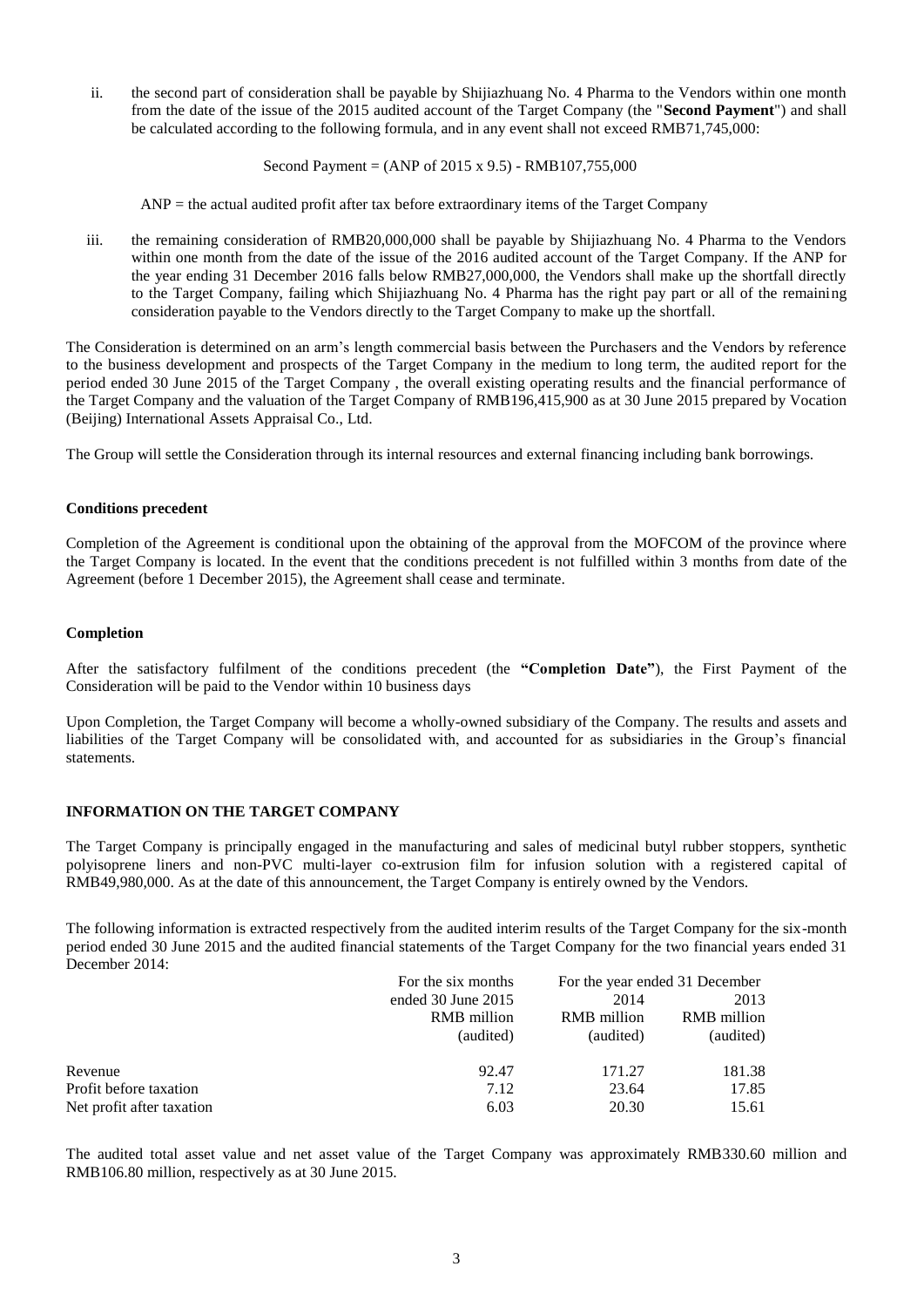ii. the second part of consideration shall be payable by Shijiazhuang No. 4 Pharma to the Vendors within one month from the date of the issue of the 2015 audited account of the Target Company (the "**Second Payment**") and shall be calculated according to the following formula, and in any event shall not exceed RMB71,745,000:

Second Payment =  $(ANP of 2015 \times 9.5) - RMB107.755,000$ 

 $ANP =$  the actual audited profit after tax before extraordinary items of the Target Company

iii. the remaining consideration of RMB20,000,000 shall be payable by Shijiazhuang No. 4 Pharma to the Vendors within one month from the date of the issue of the 2016 audited account of the Target Company. If the ANP for the year ending 31 December 2016 falls below RMB27,000,000, the Vendors shall make up the shortfall directly to the Target Company, failing which Shijiazhuang No. 4 Pharma has the right pay part or all of the remaining consideration payable to the Vendors directly to the Target Company to make up the shortfall.

The Consideration is determined on an arm's length commercial basis between the Purchasers and the Vendors by reference to the business development and prospects of the Target Company in the medium to long term, the audited report for the period ended 30 June 2015 of the Target Company , the overall existing operating results and the financial performance of the Target Company and the valuation of the Target Company of RMB196,415,900 as at 30 June 2015 prepared by Vocation (Beijing) International Assets Appraisal Co., Ltd.

The Group will settle the Consideration through its internal resources and external financing including bank borrowings.

#### **Conditions precedent**

Completion of the Agreement is conditional upon the obtaining of the approval from the MOFCOM of the province where the Target Company is located. In the event that the conditions precedent is not fulfilled within 3 months from date of the Agreement (before 1 December 2015), the Agreement shall cease and terminate.

#### **Completion**

After the satisfactory fulfilment of the conditions precedent (the **"Completion Date"**), the First Payment of the Consideration will be paid to the Vendor within 10 business days

Upon Completion, the Target Company will become a wholly-owned subsidiary of the Company. The results and assets and liabilities of the Target Company will be consolidated with, and accounted for as subsidiaries in the Group's financial statements.

#### **INFORMATION ON THE TARGET COMPANY**

The Target Company is principally engaged in the manufacturing and sales of medicinal butyl rubber stoppers, synthetic polyisoprene liners and non-PVC multi-layer co-extrusion film for infusion solution with a registered capital of RMB49,980,000. As at the date of this announcement, the Target Company is entirely owned by the Vendors.

The following information is extracted respectively from the audited interim results of the Target Company for the six-month period ended 30 June 2015 and the audited financial statements of the Target Company for the two financial years ended 31 December 2014:

|                           | For the six months     |             | For the year ended 31 December |  |
|---------------------------|------------------------|-------------|--------------------------------|--|
|                           | ended $30$ June $2015$ | 2014        | 2013                           |  |
|                           | RMB million            | RMB million | <b>RMB</b> million             |  |
|                           | (audited)              | (audited)   | (audited)                      |  |
| Revenue                   | 92.47                  | 171.27      | 181.38                         |  |
| Profit before taxation    | 7.12                   | 23.64       | 17.85                          |  |
| Net profit after taxation | 6.03                   | 20.30       | 15.61                          |  |

The audited total asset value and net asset value of the Target Company was approximately RMB330.60 million and RMB106.80 million, respectively as at 30 June 2015.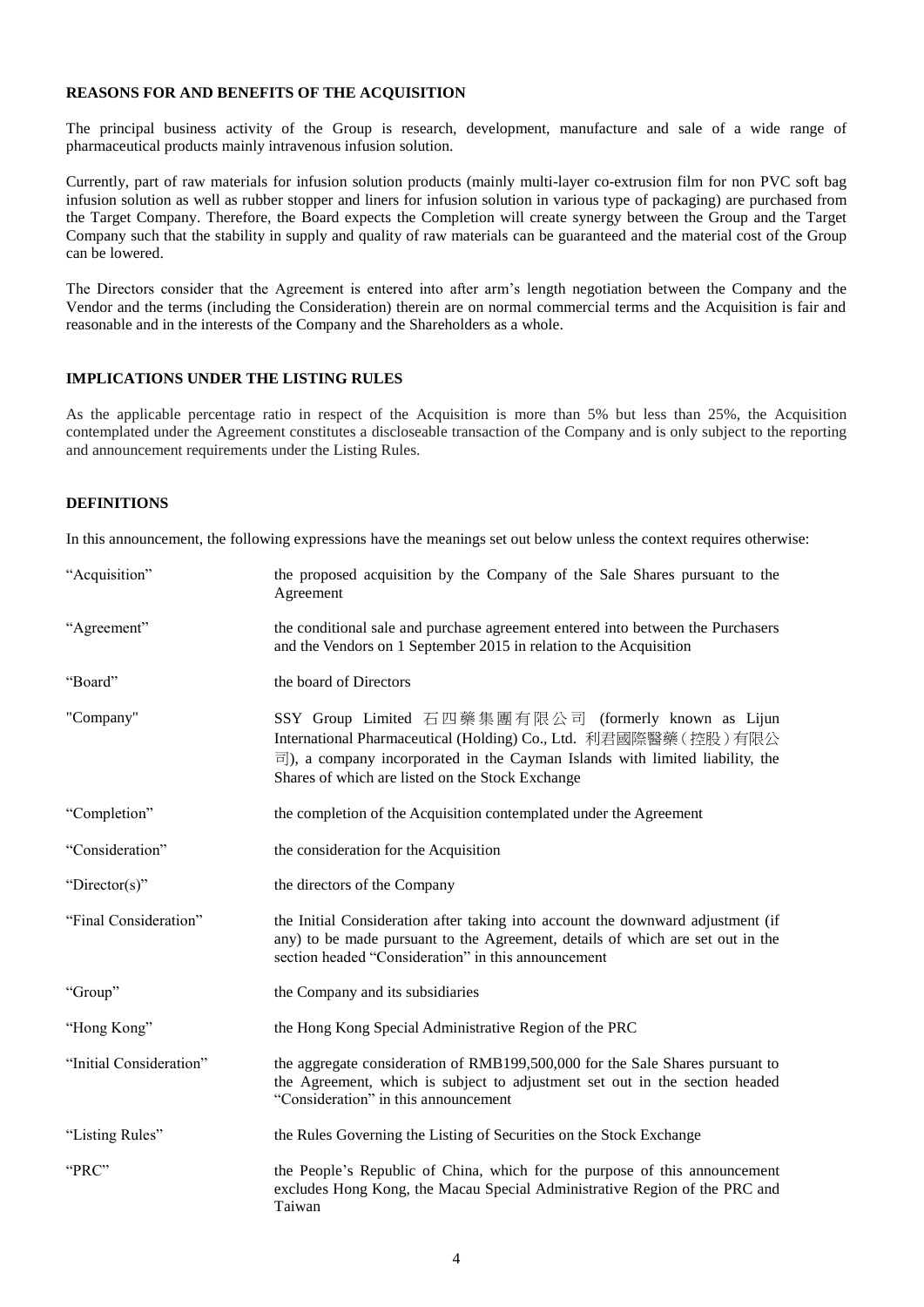#### **REASONS FOR AND BENEFITS OF THE ACQUISITION**

The principal business activity of the Group is research, development, manufacture and sale of a wide range of pharmaceutical products mainly intravenous infusion solution.

Currently, part of raw materials for infusion solution products (mainly multi-layer co-extrusion film for non PVC soft bag infusion solution as well as rubber stopper and liners for infusion solution in various type of packaging) are purchased from the Target Company. Therefore, the Board expects the Completion will create synergy between the Group and the Target Company such that the stability in supply and quality of raw materials can be guaranteed and the material cost of the Group can be lowered.

The Directors consider that the Agreement is entered into after arm's length negotiation between the Company and the Vendor and the terms (including the Consideration) therein are on normal commercial terms and the Acquisition is fair and reasonable and in the interests of the Company and the Shareholders as a whole.

#### **IMPLICATIONS UNDER THE LISTING RULES**

As the applicable percentage ratio in respect of the Acquisition is more than 5% but less than 25%, the Acquisition contemplated under the Agreement constitutes a discloseable transaction of the Company and is only subject to the reporting and announcement requirements under the Listing Rules.

#### **DEFINITIONS**

In this announcement, the following expressions have the meanings set out below unless the context requires otherwise:

| "Acquisition"           | the proposed acquisition by the Company of the Sale Shares pursuant to the<br>Agreement                                                                                                                                                                                         |
|-------------------------|---------------------------------------------------------------------------------------------------------------------------------------------------------------------------------------------------------------------------------------------------------------------------------|
| "Agreement"             | the conditional sale and purchase agreement entered into between the Purchasers<br>and the Vendors on 1 September 2015 in relation to the Acquisition                                                                                                                           |
| "Board"                 | the board of Directors                                                                                                                                                                                                                                                          |
| "Company"               | SSY Group Limited 石四藥集團有限公司 (formerly known as Lijun<br>International Pharmaceutical (Holding) Co., Ltd. 利君國際醫藥 (控股) 有限公<br>$\overline{\equiv}$ ), a company incorporated in the Cayman Islands with limited liability, the<br>Shares of which are listed on the Stock Exchange |
| "Completion"            | the completion of the Acquisition contemplated under the Agreement                                                                                                                                                                                                              |
| "Consideration"         | the consideration for the Acquisition                                                                                                                                                                                                                                           |
| "Director(s)"           | the directors of the Company                                                                                                                                                                                                                                                    |
| "Final Consideration"   | the Initial Consideration after taking into account the downward adjustment (if<br>any) to be made pursuant to the Agreement, details of which are set out in the<br>section headed "Consideration" in this announcement                                                        |
| "Group"                 | the Company and its subsidiaries                                                                                                                                                                                                                                                |
| "Hong Kong"             | the Hong Kong Special Administrative Region of the PRC                                                                                                                                                                                                                          |
| "Initial Consideration" | the aggregate consideration of RMB199,500,000 for the Sale Shares pursuant to<br>the Agreement, which is subject to adjustment set out in the section headed<br>"Consideration" in this announcement                                                                            |
| "Listing Rules"         | the Rules Governing the Listing of Securities on the Stock Exchange                                                                                                                                                                                                             |
| "PRC"                   | the People's Republic of China, which for the purpose of this announcement<br>excludes Hong Kong, the Macau Special Administrative Region of the PRC and<br>Taiwan                                                                                                              |